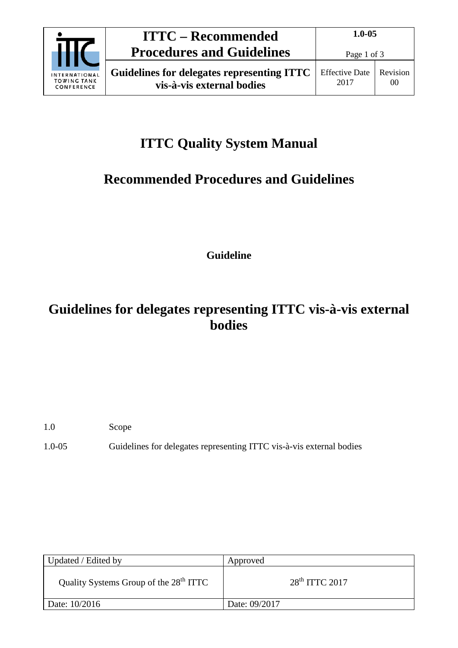

# **ITTC Quality System Manual**

## **Recommended Procedures and Guidelines**

**Guideline**

### **Guidelines for delegates representing ITTC vis-à-vis external bodies**

- 1.0 Scope
- 1.0-05 Guidelines for delegates representing ITTC vis-à-vis external bodies

| Updated / Edited by                                | Approved         |
|----------------------------------------------------|------------------|
| Quality Systems Group of the 28 <sup>th</sup> ITTC | $28th$ ITTC 2017 |
| Date: 10/2016                                      | Date: 09/2017    |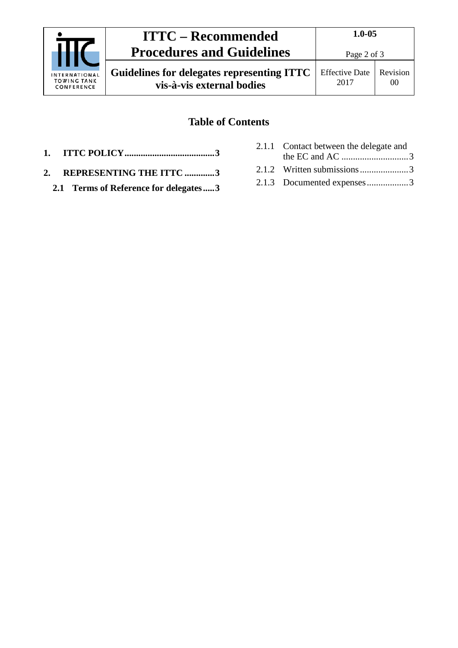|                                                   | <b>ITTC – Recommended</b>                                               | $1.0 - 0.5$                   |                            |
|---------------------------------------------------|-------------------------------------------------------------------------|-------------------------------|----------------------------|
|                                                   | <b>Procedures and Guidelines</b>                                        | Page 2 of 3                   |                            |
| INTERNATIONAL<br><b>TOWING TANK</b><br>CONFERENCE | Guidelines for delegates representing ITTC<br>vis-à-vis external bodies | <b>Effective Date</b><br>2017 | Revision<br>0 <sup>0</sup> |

### **Table of Contents**

- **1. [ITTC POLICY.......................................3](#page-2-0)**
- **2. [REPRESENTING THE ITTC](#page-2-1) .............3**
	- **2.1 [Terms of Reference for delegates.....3](#page-2-2)**
- 2.1.1 [Contact between the delegate and](#page-2-3)  the EC and AC [.............................3](#page-2-3) 2.1.2 [Written submissions.....................3](#page-2-4) 2.1.3 [Documented expenses..................3](#page-2-5)